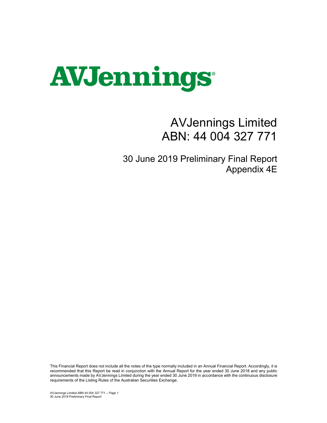

## AVJennings Limited ABN: 44 004 327 771

30 June 2019 Preliminary Final Report Appendix 4E

This Financial Report does not include all the notes of the type normally included in an Annual Financial Report. Accordingly, it is recommended that this Report be read in conjunction with the Annual Report for the year ended 30 June 2018 and any public announcements made by AVJennings Limited during the year ended 30 June 2019 in accordance with the continuous disclosure requirements of the Listing Rules of the Australian Securities Exchange.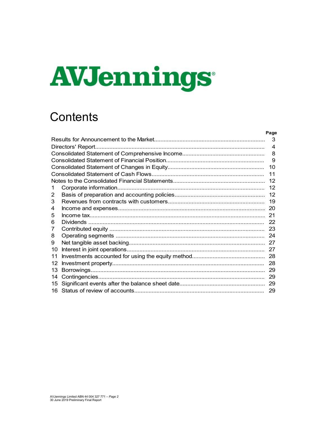# AVJennings

## **Contents**

|    | Page           |
|----|----------------|
|    | 3              |
|    | $\overline{4}$ |
|    | 8              |
|    | 9              |
|    | 10             |
|    | 11             |
|    | 12             |
|    | 12             |
| 2  | 12             |
| 3  | 19             |
| 4  | 20             |
| 5  | 21             |
| 6  | 22             |
| 7  | 23             |
| 8  | 24             |
| 9  | 27             |
| 10 | 27             |
| 11 | 28             |
| 12 | 28             |
| 13 | 29             |
| 14 | 29             |
| 15 | 29             |
| 16 | 29             |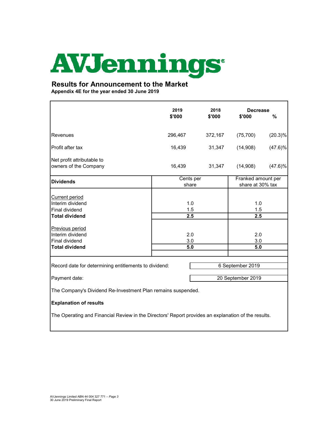# **AVJennings®**

### **Results for Announcement to the Market**

**Appendix 4E for the year ended 30 June 2019**

|                                                                                               | 2019<br>\$'000     | 2018<br>\$'000 | <b>Decrease</b><br>\$'000              | $\frac{0}{0}$ |  |
|-----------------------------------------------------------------------------------------------|--------------------|----------------|----------------------------------------|---------------|--|
|                                                                                               |                    |                |                                        |               |  |
| Revenues                                                                                      | 296,467            | 372,167        | (75, 700)                              | $(20.3)\%$    |  |
| Profit after tax                                                                              | 16,439             | 31,347         | (14,908)                               | (47.6)%       |  |
| Net profit attributable to<br>owners of the Company                                           | 16,439             | 31,347         | (14,908)                               | $(47.6)\%$    |  |
| <b>Dividends</b>                                                                              | Cents per<br>share |                | Franked amount per<br>share at 30% tax |               |  |
| <b>Current period</b><br>Interim dividend<br>Final dividend                                   | 1.0<br>1.5         |                | 1.0<br>1.5                             |               |  |
| <b>Total dividend</b>                                                                         | 2.5                |                | 2.5                                    |               |  |
| Previous period<br>Interim dividend<br>Final dividend                                         | 2.0<br>3.0         |                | 2.0<br>3.0                             |               |  |
| <b>Total dividend</b>                                                                         | 5.0                |                | 5.0                                    |               |  |
| Record date for determining entitlements to dividend:                                         |                    |                | 6 September 2019                       |               |  |
| Payment date:                                                                                 |                    |                | 20 September 2019                      |               |  |
| The Company's Dividend Re-Investment Plan remains suspended.<br><b>Explanation of results</b> |                    |                |                                        |               |  |

The Operating and Financial Review in the Directors' Report provides an explanation of the results.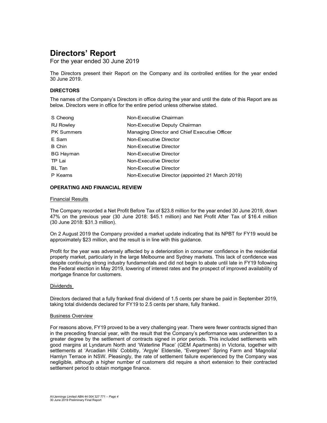For the year ended 30 June 2019

The Directors present their Report on the Company and its controlled entities for the year ended 30 June 2019.

#### **DIRECTORS**

The names of the Company's Directors in office during the year and until the date of this Report are as below. Directors were in office for the entire period unless otherwise stated.

| S Cheong          | Non-Executive Chairman                           |
|-------------------|--------------------------------------------------|
| <b>RJ Rowley</b>  | Non-Executive Deputy Chairman                    |
| <b>PK Summers</b> | Managing Director and Chief Executive Officer    |
| E Sam             | Non-Executive Director                           |
| <b>B</b> Chin     | Non-Executive Director                           |
| <b>BG Hayman</b>  | Non-Executive Director                           |
| TP Lai            | Non-Executive Director                           |
| <b>BL</b> Tan     | Non-Executive Director                           |
| P Kearns          | Non-Executive Director (appointed 21 March 2019) |

#### **OPERATING AND FINANCIAL REVIEW**

#### Financial Results

The Company recorded a Net Profit Before Tax of \$23.8 million for the year ended 30 June 2019, down 47% on the previous year (30 June 2018: \$45.1 million) and Net Profit After Tax of \$16.4 million (30 June 2018: \$31.3 million).

On 2 August 2019 the Company provided a market update indicating that its NPBT for FY19 would be approximately \$23 million, and the result is in line with this guidance.

Profit for the year was adversely affected by a deterioration in consumer confidence in the residential property market, particularly in the large Melbourne and Sydney markets. This lack of confidence was despite continuing strong industry fundamentals and did not begin to abate until late in FY19 following the Federal election in May 2019, lowering of interest rates and the prospect of improved availability of mortgage finance for customers.

#### Dividends

Directors declared that a fully franked final dividend of 1.5 cents per share be paid in September 2019, taking total dividends declared for FY19 to 2.5 cents per share, fully franked.

#### Business Overview

For reasons above, FY19 proved to be a very challenging year. There were fewer contracts signed than in the preceding financial year, with the result that the Company's performance was underwritten to a greater degree by the settlement of contracts signed in prior periods. This included settlements with good margins at Lyndarum North and 'Waterline Place' (GEM Apartments) in Victoria, together with settlements at 'Arcadian Hills' Cobbitty, 'Argyle' Elderslie, "Evergreen" Spring Farm and 'Magnolia' Hamlyn Terrace in NSW. Pleasingly, the rate of settlement failure experienced by the Company was negligible, although a higher number of customers did require a short extension to their contracted settlement period to obtain mortgage finance.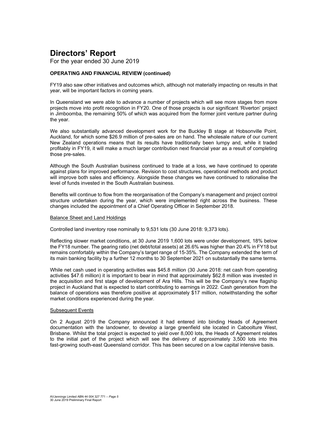For the year ended 30 June 2019

#### **OPERATING AND FINANCIAL REVIEW (continued)**

FY19 also saw other initiatives and outcomes which, although not materially impacting on results in that year, will be important factors in coming years.

In Queensland we were able to advance a number of projects which will see more stages from more projects move into profit recognition in FY20. One of those projects is our significant 'Riverton' project in Jimboomba, the remaining 50% of which was acquired from the former joint venture partner during the year.

We also substantially advanced development work for the Buckley B stage at Hobsonville Point. Auckland, for which some \$26.9 million of pre-sales are on hand. The wholesale nature of our current New Zealand operations means that its results have traditionally been lumpy and, while it traded profitably in FY19, it will make a much larger contribution next financial year as a result of completing those pre-sales.

Although the South Australian business continued to trade at a loss, we have continued to operate against plans for improved performance. Revision to cost structures, operational methods and product will improve both sales and efficiency. Alongside these changes we have continued to rationalise the level of funds invested in the South Australian business.

Benefits will continue to flow from the reorganisation of the Company's management and project control structure undertaken during the year, which were implemented right across the business. These changes included the appointment of a Chief Operating Officer in September 2018.

#### Balance Sheet and Land Holdings

Controlled land inventory rose nominally to 9,531 lots (30 June 2018: 9,373 lots).

Reflecting slower market conditions, at 30 June 2019 1,600 lots were under development, 18% below the FY18 number. The gearing ratio (net debt/total assets) at 26.6% was higher than 20.4% in FY18 but remains comfortably within the Company's target range of 15-35%. The Company extended the term of its main banking facility by a further 12 months to 30 September 2021 on substantially the same terms.

While net cash used in operating activities was \$45.8 million (30 June 2018: net cash from operating activities \$47.6 million) it is important to bear in mind that approximately \$62.8 million was invested in the acquisition and first stage of development of Ara Hills. This will be the Company's new flagship project in Auckland that is expected to start contributing to earnings in 2022. Cash generation from the balance of operations was therefore positive at approximately \$17 million, notwithstanding the softer market conditions experienced during the year.

#### Subsequent Events

On 2 August 2019 the Company announced it had entered into binding Heads of Agreement documentation with the landowner, to develop a large greenfield site located in Caboolture West, Brisbane. Whilst the total project is expected to yield over 8,000 lots, the Heads of Agreement relates to the initial part of the project which will see the delivery of approximately 3,500 lots into this fast-growing south-east Queensland corridor. This has been secured on a low capital intensive basis.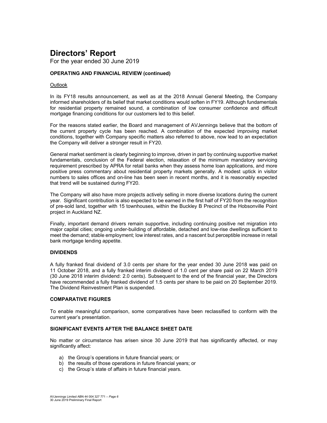For the year ended 30 June 2019

#### **OPERATING AND FINANCIAL REVIEW (continued)**

#### **Outlook**

In its FY18 results announcement, as well as at the 2018 Annual General Meeting, the Company informed shareholders of its belief that market conditions would soften in FY19. Although fundamentals for residential property remained sound, a combination of low consumer confidence and difficult mortgage financing conditions for our customers led to this belief.

For the reasons stated earlier, the Board and management of AVJennings believe that the bottom of the current property cycle has been reached. A combination of the expected improving market conditions, together with Company specific matters also referred to above, now lead to an expectation the Company will deliver a stronger result in FY20.

General market sentiment is clearly beginning to improve, driven in part by continuing supportive market fundamentals, conclusion of the Federal election, relaxation of the minimum mandatory servicing requirement prescribed by APRA for retail banks when they assess home loan applications, and more positive press commentary about residential property markets generally. A modest uptick in visitor numbers to sales offices and on-line has been seen in recent months, and it is reasonably expected that trend will be sustained during FY20.

The Company will also have more projects actively selling in more diverse locations during the current year. Significant contribution is also expected to be earned in the first half of FY20 from the recognition of pre-sold land, together with 15 townhouses, within the Buckley B Precinct of the Hobsonville Point project in Auckland NZ.

Finally, important demand drivers remain supportive, including continuing positive net migration into major capital cities; ongoing under-building of affordable, detached and low-rise dwellings sufficient to meet the demand; stable employment; low interest rates, and a nascent but perceptible increase in retail bank mortgage lending appetite.

#### **DIVIDENDS**

A fully franked final dividend of 3.0 cents per share for the year ended 30 June 2018 was paid on 11 October 2018, and a fully franked interim dividend of 1.0 cent per share paid on 22 March 2019 (30 June 2018 interim dividend: 2.0 cents). Subsequent to the end of the financial year, the Directors have recommended a fully franked dividend of 1.5 cents per share to be paid on 20 September 2019. The Dividend Reinvestment Plan is suspended.

#### **COMPARATIVE FIGURES**

To enable meaningful comparison, some comparatives have been reclassified to conform with the current year's presentation.

#### **SIGNIFICANT EVENTS AFTER THE BALANCE SHEET DATE**

No matter or circumstance has arisen since 30 June 2019 that has significantly affected, or may significantly affect:

- a) the Group's operations in future financial years; or
- b) the results of those operations in future financial years; or
- c) the Group's state of affairs in future financial years.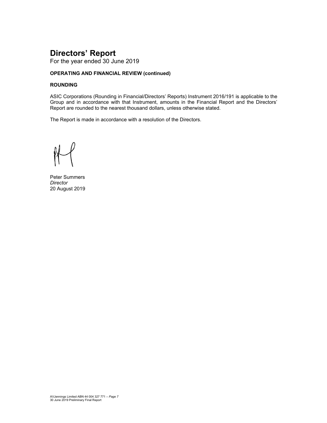For the year ended 30 June 2019

#### **OPERATING AND FINANCIAL REVIEW (continued)**

#### **ROUNDING**

ASIC Corporations (Rounding in Financial/Directors' Reports) Instrument 2016/191 is applicable to the Group and in accordance with that Instrument, amounts in the Financial Report and the Directors' Report are rounded to the nearest thousand dollars, unless otherwise stated.

The Report is made in accordance with a resolution of the Directors.

Peter Summers *Director*  20 August 2019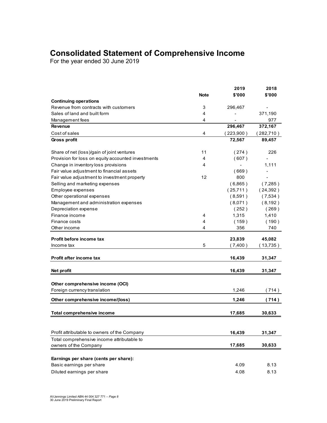## **Consolidated Statement of Comprehensive Income**

|                                                    |             | 2019      | 2018      |
|----------------------------------------------------|-------------|-----------|-----------|
|                                                    | <b>Note</b> | \$'000    | \$'000    |
| <b>Continuing operations</b>                       |             |           |           |
| Revenue from contracts with customers              | 3           | 296,467   |           |
| Sales of land and built form                       | 4           |           | 371,190   |
| Management fees                                    | 4           |           | 977       |
| <b>Revenue</b>                                     |             | 296,467   | 372,167   |
| Cost of sales                                      | 4           | (223,900) | (282,710) |
| Gross profit                                       |             | 72,567    | 89,457    |
| Share of net (loss)/gain of joint ventures         | 11          | (274)     | 226       |
| Provision for loss on equity accounted investments | 4           | (607)     |           |
| Change in inventory loss provisions                | 4           |           | 1,111     |
| Fair value adjustment to financial assets          |             | (669)     |           |
| Fair value adjustment to investment property       | 12          | 800       |           |
| Selling and marketing expenses                     |             | (6,865)   | (7,285)   |
| Employee expenses                                  |             | (25,711)  | (24, 392) |
| Other operational expenses                         |             | (8,591)   | (7,534)   |
| Management and administration expenses             |             | (8,071)   | (8, 192)  |
| Depreciation expense                               |             | (252)     | (269)     |
| Finance income                                     | 4           | 1,315     | 1,410     |
| Finance costs                                      | 4           | (159)     | (190)     |
| Other income                                       | 4           | 356       | 740       |
| Profit before income tax                           |             | 23,839    | 45,082    |
| Income tax                                         | 5           | (7,400)   | (13,735)  |
| Profit after income tax                            |             | 16,439    | 31,347    |
|                                                    |             |           |           |
| Net profit                                         |             | 16,439    | 31,347    |
| Other comprehensive income (OCI)                   |             |           |           |
| Foreign currency translation                       |             | 1,246     | (714)     |
| Other comprehensive income/(loss)                  |             | 1,246     | (714)     |
| <b>Total comprehensive income</b>                  |             | 17,685    | 30,633    |
|                                                    |             |           |           |
| Profit attributable to owners of the Company       |             | 16,439    | 31,347    |
| Total comprehensive income attributable to         |             |           |           |
| owners of the Company                              |             | 17,685    | 30,633    |
| Earnings per share (cents per share):              |             |           |           |
| Basic earnings per share                           |             | 4.09      | 8.13      |
|                                                    |             |           |           |
| Diluted earnings per share                         |             | 4.08      | 8.13      |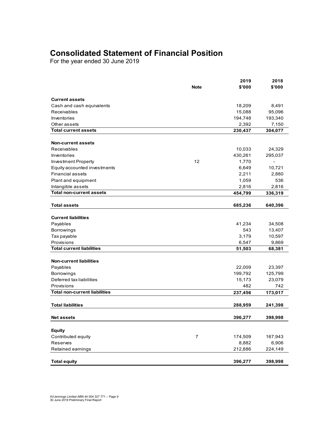## **Consolidated Statement of Financial Position**

| \$'000<br>\$'000<br><b>Note</b><br><b>Current assets</b>       |  |
|----------------------------------------------------------------|--|
|                                                                |  |
|                                                                |  |
| 18,209<br>Cash and cash equivalents<br>8,491                   |  |
| Receivables<br>15,088<br>95,096                                |  |
| Inventories<br>194,748<br>193,340                              |  |
| Other assets<br>2,392<br>7,150                                 |  |
| <b>Total current assets</b><br>230,437<br>304,077              |  |
| <b>Non-current assets</b>                                      |  |
| Receivables<br>10,033<br>24,329                                |  |
| Inventories<br>430,261<br>295,037                              |  |
| 12<br>1,770<br>Investment Property<br>$\overline{\phantom{0}}$ |  |
| 6,649<br>Equity accounted investments<br>10,721                |  |
| 2,211<br><b>Financial assets</b><br>2,880                      |  |
| 1,059<br>536                                                   |  |
| Plant and equipment<br>2,816<br>Intangible assets<br>2,816     |  |
| <b>Total non-current assets</b><br>454,799<br>336,319          |  |
|                                                                |  |
| <b>Total assets</b><br>685,236<br>640,396                      |  |
|                                                                |  |
| <b>Current liabilities</b>                                     |  |
| Payables<br>41,234<br>34,508                                   |  |
| 543<br>Borrowings<br>13,407                                    |  |
| 3,179<br>10,597<br><b>Tax payable</b>                          |  |
| Provisions<br>6,547<br>9,869                                   |  |
| <b>Total current liabilities</b><br>51,503<br>68,381           |  |
| <b>Non-current liabilities</b>                                 |  |
| Payables<br>22,009<br>23,397                                   |  |
| 199,792<br><b>Borrowings</b><br>125,799                        |  |
| Deferred tax liabilities<br>15,173<br>23,079                   |  |
| Provisions<br>482<br>742                                       |  |
| <b>Total non-current liabilities</b><br>237,456<br>173,017     |  |
|                                                                |  |
| <b>Total liabilities</b><br>241,398<br>288,959                 |  |
| 396,277<br>398,998<br>Net assets                               |  |
|                                                                |  |
| <b>Equity</b>                                                  |  |
| Contributed equity<br>$\overline{7}$<br>174,509<br>167,943     |  |
| Reserves<br>8,882<br>6,906                                     |  |
| Retained earnings<br>212,886<br>224,149                        |  |
| <b>Total equity</b><br>396,277<br>398,998                      |  |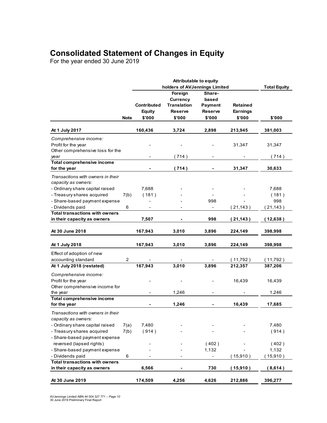## **Consolidated Statement of Changes in Equity**

|                                       |                | <b>Attributable to equity</b> |                     |                          |                 |           |  |
|---------------------------------------|----------------|-------------------------------|---------------------|--------------------------|-----------------|-----------|--|
|                                       |                | holders of AVJennings Limited | <b>Total Equity</b> |                          |                 |           |  |
|                                       |                |                               | Foreign             | Share-                   |                 |           |  |
|                                       |                |                               | <b>Currency</b>     | based                    |                 |           |  |
|                                       |                | <b>Contributed</b>            | <b>Translation</b>  | Payment                  | <b>Retained</b> |           |  |
|                                       |                | <b>Equity</b>                 | <b>Reserve</b>      | <b>Reserve</b>           | Earnings        |           |  |
|                                       | <b>Note</b>    | \$'000                        | \$'000              | \$'000                   | \$'000          | \$'000    |  |
|                                       |                |                               |                     |                          |                 |           |  |
| At 1 July 2017                        |                | 160,436                       | 3,724               | 2,898                    | 213,945         | 381,003   |  |
| Comprehensive income:                 |                |                               |                     |                          |                 |           |  |
| Profit for the year                   |                |                               |                     |                          | 31,347          | 31,347    |  |
| Other comprehensive loss for the      |                |                               |                     |                          |                 |           |  |
| year                                  |                |                               | (714)               |                          |                 | (714)     |  |
| <b>Total comprehensive income</b>     |                |                               |                     |                          |                 |           |  |
| for the year                          |                |                               | (714)               |                          | 31,347          | 30,633    |  |
| Transactions with owners in their     |                |                               |                     |                          |                 |           |  |
| capacity as owners:                   |                |                               |                     |                          |                 |           |  |
| - Ordinary share capital raised       |                | 7,688                         |                     |                          |                 | 7,688     |  |
| - Treasury shares acquired            | 7(b)           | (181)                         |                     |                          |                 | (181)     |  |
| - Share-based payment expense         |                |                               |                     | 998                      |                 | 998       |  |
| - Dividends paid                      | 6              | ۰                             |                     | $\overline{\phantom{a}}$ | (21, 143)       | (21, 143) |  |
| <b>Total transactions with owners</b> |                |                               |                     |                          |                 |           |  |
| in their capacity as owners           |                | 7,507                         |                     | 998                      | (21, 143)       | (12, 638) |  |
|                                       |                |                               |                     |                          |                 |           |  |
| At 30 June 2018                       |                | 167,943                       | 3,010               | 3,896                    | 224,149         | 398,998   |  |
|                                       |                |                               |                     |                          |                 |           |  |
| At 1 July 2018                        |                | 167,943                       | 3,010               | 3,896                    | 224,149         | 398,998   |  |
| Effect of adoption of new             |                |                               |                     |                          |                 |           |  |
| accounting standard                   | $\overline{2}$ |                               |                     |                          | (11, 792)       | (11,792)  |  |
| At 1 July 2018 (restated)             |                | 167,943                       | 3,010               | 3,896                    | 212,357         | 387,206   |  |
| Comprehensive income:                 |                |                               |                     |                          |                 |           |  |
| Profit for the year                   |                |                               |                     |                          | 16,439          | 16,439    |  |
| Other comprehensive income for        |                |                               |                     |                          |                 |           |  |
| the year                              |                |                               | 1,246               |                          |                 | 1,246     |  |
| <b>Total comprehensive income</b>     |                |                               |                     |                          |                 |           |  |
| for the year                          |                |                               | 1,246               |                          | 16,439          | 17,685    |  |
| Transactions with owners in their     |                |                               |                     |                          |                 |           |  |
| capacity as owners:                   |                |                               |                     |                          |                 |           |  |
| - Ordinary share capital raised       | 7(a)           | 7,480                         |                     |                          |                 | 7,480     |  |
| - Treasury shares acquired            | 7(b)           | (914)                         |                     |                          |                 | (914)     |  |
| - Share-based payment expense         |                |                               |                     |                          |                 |           |  |
| reversed (lapsed rights)              |                |                               |                     | (402)                    |                 | (402)     |  |
| - Share-based payment expense         |                |                               |                     | 1,132                    |                 | 1,132     |  |
| - Dividends paid                      | 6              |                               |                     |                          | (15,910)        | (15,910)  |  |
| <b>Total transactions with owners</b> |                |                               |                     |                          |                 |           |  |
| in their capacity as owners           |                | 6,566                         |                     | 730                      | (15,910)        | (8,614)   |  |
| At 30 June 2019                       |                | 174,509                       | 4,256               | 4,626                    | 212,886         | 396,277   |  |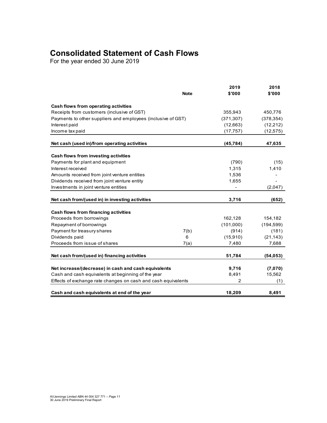## **Consolidated Statement of Cash Flows**

|                                                               |             | 2019       | 2018       |
|---------------------------------------------------------------|-------------|------------|------------|
|                                                               | <b>Note</b> | \$'000     | \$'000     |
| Cash flows from operating activities                          |             |            |            |
| Receipts from customers (inclusive of GST)                    |             | 355,943    | 450,776    |
| Payments to other suppliers and employees (inclusive of GST)  |             | (371, 307) | (378, 354) |
| Interest paid                                                 |             | (12,663)   | (12,212)   |
| Income tax paid                                               |             | (17, 757)  | (12, 575)  |
| Net cash (used in)/from operating activities                  |             | (45, 784)  | 47,635     |
|                                                               |             |            |            |
| Cash flows from investing activities                          |             |            |            |
| Payments for plant and equipment                              |             | (790)      | (15)       |
| Interest received                                             |             | 1,315      | 1,410      |
| Amounts received from joint venture entities                  |             | 1,536      |            |
| Dividends received from joint venture entity                  |             | 1,655      |            |
| Investments in joint venture entities                         |             |            | (2,047)    |
|                                                               |             |            |            |
| Net cash from/(used in) in investing activities               |             | 3,716      | (652)      |
| Cash flows from financing activities                          |             |            |            |
| Proceeds from borrowings                                      |             | 162,128    | 154,182    |
| Repayment of borrowings                                       |             | (101,000)  | (194, 599) |
| Payment for treasury shares                                   | 7(b)        | (914)      | (181)      |
| Dividends paid                                                | 6           | (15,910)   | (21, 143)  |
| Proceeds from issue of shares                                 | 7(a)        | 7,480      | 7,688      |
| Net cash from/(used in) financing activities                  |             | 51,784     | (54, 053)  |
|                                                               |             |            |            |
| Net increase/(decrease) in cash and cash equivalents          |             | 9,716      | (7,070)    |
| Cash and cash equivalents at beginning of the year            |             | 8,491      | 15,562     |
| Effects of exchange rate changes on cash and cash equivalents |             | 2          | (1)        |
|                                                               |             |            |            |
| Cash and cash equivalents at end of the year                  |             | 18,209     | 8,491      |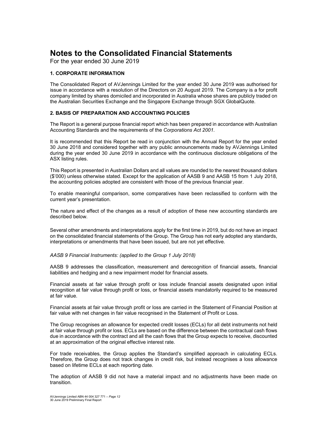For the year ended 30 June 2019

#### **1. CORPORATE INFORMATION**

The Consolidated Report of AVJennings Limited for the year ended 30 June 2019 was authorised for issue in accordance with a resolution of the Directors on 20 August 2019. The Company is a for profit company limited by shares domiciled and incorporated in Australia whose shares are publicly traded on the Australian Securities Exchange and the Singapore Exchange through SGX GlobalQuote.

#### **2. BASIS OF PREPARATION AND ACCOUNTING POLICIES**

The Report is a general purpose financial report which has been prepared in accordance with Australian Accounting Standards and the requirements of the *Corporations Act 2001*.

It is recommended that this Report be read in conjunction with the Annual Report for the year ended 30 June 2018 and considered together with any public announcements made by AVJennings Limited during the year ended 30 June 2019 in accordance with the continuous disclosure obligations of the ASX listing rules.

This Report is presented in Australian Dollars and all values are rounded to the nearest thousand dollars (\$'000) unless otherwise stated. Except for the application of AASB 9 and AASB 15 from 1 July 2018, the accounting policies adopted are consistent with those of the previous financial year.

To enable meaningful comparison, some comparatives have been reclassified to conform with the current year's presentation.

The nature and effect of the changes as a result of adoption of these new accounting standards are described below.

Several other amendments and interpretations apply for the first time in 2019, but do not have an impact on the consolidated financial statements of the Group. The Group has not early adopted any standards, interpretations or amendments that have been issued, but are not yet effective.

*AASB 9 Financial Instruments: (applied to the Group 1 July 2018)* 

AASB 9 addresses the classification, measurement and derecognition of financial assets, financial liabilities and hedging and a new impairment model for financial assets.

Financial assets at fair value through profit or loss include financial assets designated upon initial recognition at fair value through profit or loss, or financial assets mandatorily required to be measured at fair value.

Financial assets at fair value through profit or loss are carried in the Statement of Financial Position at fair value with net changes in fair value recognised in the Statement of Profit or Loss.

The Group recognises an allowance for expected credit losses (ECLs) for all debt instruments not held at fair value through profit or loss. ECLs are based on the difference between the contractual cash flows due in accordance with the contract and all the cash flows that the Group expects to receive, discounted at an approximation of the original effective interest rate.

For trade receivables, the Group applies the Standard's simplified approach in calculating ECLs. Therefore, the Group does not track changes in credit risk, but instead recognises a loss allowance based on lifetime ECLs at each reporting date.

The adoption of AASB 9 did not have a material impact and no adjustments have been made on transition.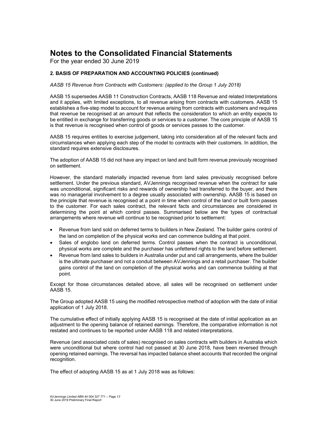For the year ended 30 June 2019

#### **2. BASIS OF PREPARATION AND ACCOUNTING POLICIES (continued)**

*AASB 15 Revenue from Contracts with Customers: (applied to the Group 1 July 2018)* 

AASB 15 supersedes AASB 11 Construction Contracts, AASB 118 Revenue and related Interpretations and it applies, with limited exceptions, to all revenue arising from contracts with customers. AASB 15 establishes a five-step model to account for revenue arising from contracts with customers and requires that revenue be recognised at an amount that reflects the consideration to which an entity expects to be entitled in exchange for transferring goods or services to a customer. The core principle of AASB 15 is that revenue is recognised when control of goods or services passes to the customer.

AASB 15 requires entities to exercise judgement, taking into consideration all of the relevant facts and circumstances when applying each step of the model to contracts with their customers. In addition, the standard requires extensive disclosures.

The adoption of AASB 15 did not have any impact on land and built form revenue previously recognised on settlement.

However, the standard materially impacted revenue from land sales previously recognised before settlement. Under the previous standard, AVJennings recognised revenue when the contract for sale was unconditional, significant risks and rewards of ownership had transferred to the buyer, and there was no managerial involvement to a degree usually associated with ownership. AASB 15 is based on the principle that revenue is recognised at a point in time when control of the land or built form passes to the customer. For each sales contract, the relevant facts and circumstances are considered in determining the point at which control passes. Summarised below are the types of contractual arrangements where revenue will continue to be recognised prior to settlement:

- Revenue from land sold on deferred terms to builders in New Zealand. The builder gains control of the land on completion of the physical works and can commence building at that point.
- Sales of englobo land on deferred terms. Control passes when the contract is unconditional, physical works are complete and the purchaser has unfettered rights to the land before settlement.
- Revenue from land sales to builders in Australia under put and call arrangements, where the builder is the ultimate purchaser and not a conduit between AVJennings and a retail purchaser. The builder gains control of the land on completion of the physical works and can commence building at that point.

Except for those circumstances detailed above, all sales will be recognised on settlement under AASB 15.

The Group adopted AASB 15 using the modified retrospective method of adoption with the date of initial application of 1 July 2018.

The cumulative effect of initially applying AASB 15 is recognised at the date of initial application as an adjustment to the opening balance of retained earnings. Therefore, the comparative information is not restated and continues to be reported under AASB 118 and related interpretations.

Revenue (and associated costs of sales) recognised on sales contracts with builders in Australia which were unconditional but where control had not passed at 30 June 2018, have been reversed through opening retained earnings. The reversal has impacted balance sheet accounts that recorded the original recognition.

The effect of adopting AASB 15 as at 1 July 2018 was as follows: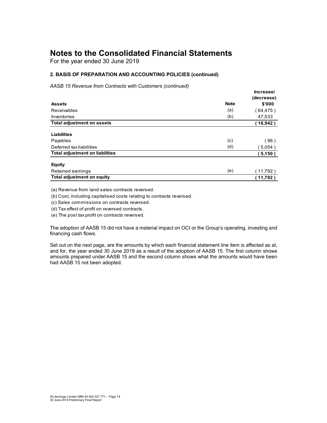For the year ended 30 June 2019

#### **2. BASIS OF PREPARATION AND ACCOUNTING POLICIES (continued)**

*AASB 15 Revenue from Contracts with Customers (continued)*

|                                        |             | Increase/  |
|----------------------------------------|-------------|------------|
|                                        |             | (decrease) |
| <b>Assets</b>                          | <b>Note</b> | \$'000     |
| Receivables                            | (a)         | (64, 475)  |
| Inventories                            | (b)         | 47,533     |
| <b>Total adjustment on assets</b>      |             | 16,942)    |
| Liabilities                            |             |            |
| Payables                               | (c)         | 〔96〕       |
| Deferred tax liabilities               | (d)         | (5,054)    |
| <b>Total adjustment on liabilities</b> |             | (5,150)    |
| <b>Equity</b>                          |             |            |
| Retained earnings                      | (e)         | (11,792)   |
| <b>Total adjustment on equity</b>      |             | 11,792)    |

(a) Revenue from land sales contracts reversed.

(b) Cost, including capitalised costs relating to contracts reversed.

(c) Sales commissions on contracts reversed.

(d) Tax effect of profit on reversed contracts.

(e) The post tax profit on contracts reversed.

The adoption of AASB 15 did not have a material impact on OCI or the Group's operating, investing and financing cash flows.

Set out on the next page, are the amounts by which each financial statement line item is affected as at, and for, the year ended 30 June 2019 as a result of the adoption of AASB 15. The first column shows amounts prepared under AASB 15 and the second column shows what the amounts would have been had AASB 15 not been adopted.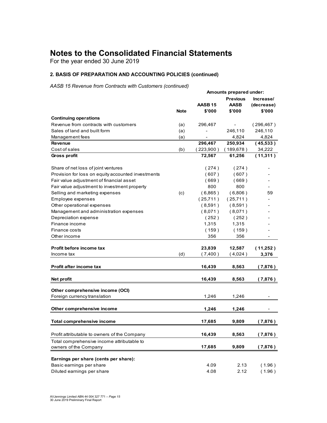For the year ended 30 June 2019

#### **2. BASIS OF PREPARATION AND ACCOUNTING POLICIES (continued)**

*AASB 15 Revenue from Contracts with Customers (continued)*

|                                                    |             | Amounts prepared under:      |                                          |                                   |  |
|----------------------------------------------------|-------------|------------------------------|------------------------------------------|-----------------------------------|--|
|                                                    | <b>Note</b> | AASB <sub>15</sub><br>\$'000 | <b>Previous</b><br><b>AASB</b><br>\$'000 | Increase/<br>(decrease)<br>\$'000 |  |
| <b>Continuing operations</b>                       |             |                              |                                          |                                   |  |
| Revenue from contracts with customers              | (a)         | 296,467                      |                                          | (296, 467)                        |  |
| Sales of land and built form                       | (a)         |                              | 246,110                                  | 246,110                           |  |
| Management fees                                    | (a)         |                              | 4,824                                    | 4,824                             |  |
| <b>Revenue</b>                                     |             | 296,467                      | 250,934                                  | (45,533)                          |  |
| Cost of sales                                      | (b)         | (223,900)                    | (189, 678)                               | 34,222                            |  |
| Gross profit                                       |             | 72,567                       | 61,256                                   | (11, 311)                         |  |
| Share of net loss of joint ventures                |             | (274)                        | (274)                                    |                                   |  |
| Provision for loss on equity accounted investments |             | (607)                        | (607)                                    |                                   |  |
| Fair value adjustment of financial asset           |             | (669)                        | (669)                                    |                                   |  |
| Fair value adjustment to investment property       |             | 800                          | 800                                      |                                   |  |
| Selling and marketing expenses                     | (c)         | (6,865)                      | (6,806)                                  | 59                                |  |
| Employee expenses                                  |             | (25,711)                     | (25,711)                                 |                                   |  |
| Other operational expenses                         |             | (8,591)                      | (8,591)                                  |                                   |  |
| Management and administration expenses             |             | (8,071)                      | (8,071)                                  |                                   |  |
| Depreciation expense                               |             | (252)                        | (252)                                    |                                   |  |
| Finance income                                     |             | 1,315                        | 1,315                                    |                                   |  |
| Finance costs                                      |             | (159)                        | (159)                                    |                                   |  |
| Other income                                       |             | 356                          | 356                                      |                                   |  |
| Profit before income tax                           |             | 23,839                       | 12,587                                   | (11,252)                          |  |
| Income tax                                         | (d)         | (7,400)                      | (4,024)                                  | 3,376                             |  |
| Profit after income tax                            |             | 16,439                       | 8,563                                    | (7,876)                           |  |
| Net profit                                         |             | 16,439                       | 8,563                                    | (7,876)                           |  |
| Other comprehensive income (OCI)                   |             |                              |                                          |                                   |  |
| Foreign currency translation                       |             | 1,246                        | 1,246                                    |                                   |  |
| Other comprehensive income                         |             | 1,246                        | 1,246                                    |                                   |  |
| <b>Total comprehensive income</b>                  |             | 17,685                       | 9,809                                    | (7,876)                           |  |
| Profit attributable to owners of the Company       |             | 16,439                       | 8,563                                    | (7,876)                           |  |
| Total comprehensive income attributable to         |             |                              |                                          |                                   |  |
| owners of the Company                              |             | 17,685                       | 9,809                                    | (7,876)                           |  |
| Earnings per share (cents per share):              |             |                              |                                          |                                   |  |
| Basic earnings per share                           |             | 4.09                         | 2.13                                     | (1.96)                            |  |
| Diluted earnings per share                         |             | 4.08                         | 2.12                                     | (1.96)                            |  |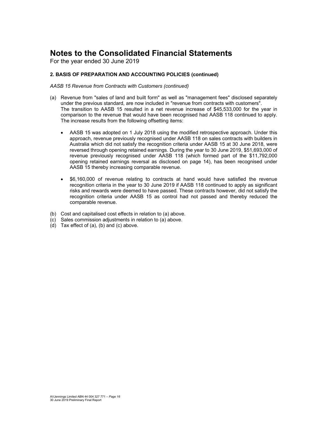For the year ended 30 June 2019

#### **2. BASIS OF PREPARATION AND ACCOUNTING POLICIES (continued)**

*AASB 15 Revenue from Contracts with Customers (continued)* 

- (a) Revenue from "sales of land and built form" as well as "management fees" disclosed separately under the previous standard, are now included in "revenue from contracts with customers". The transition to AASB 15 resulted in a net revenue increase of \$45,533,000 for the year in comparison to the revenue that would have been recognised had AASB 118 continued to apply. The increase results from the following offsetting items:
	- AASB 15 was adopted on 1 July 2018 using the modified retrospective approach. Under this approach, revenue previously recognised under AASB 118 on sales contracts with builders in Australia which did not satisfy the recognition criteria under AASB 15 at 30 June 2018, were reversed through opening retained earnings. During the year to 30 June 2019, \$51,693,000 of revenue previously recognised under AASB 118 (which formed part of the \$11,792,000 opening retained earnings reversal as disclosed on page 14), has been recognised under AASB 15 thereby increasing comparable revenue.
	- \$6,160,000 of revenue relating to contracts at hand would have satisfied the revenue recognition criteria in the year to 30 June 2019 if AASB 118 continued to apply as significant risks and rewards were deemed to have passed. These contracts however, did not satisfy the recognition criteria under AASB 15 as control had not passed and thereby reduced the comparable revenue.
- (b) Cost and capitalised cost effects in relation to (a) above.
- (c) Sales commission adjustments in relation to (a) above.
- (d) Tax effect of (a), (b) and (c) above.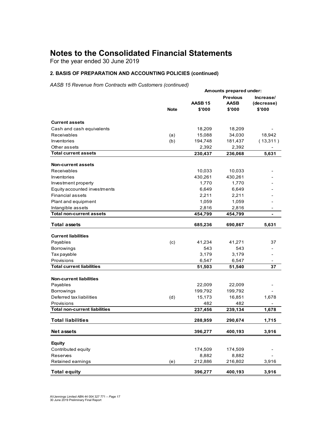For the year ended 30 June 2019

#### **2. BASIS OF PREPARATION AND ACCOUNTING POLICIES (continued)**

*AASB 15 Revenue from Contracts with Customers (continued)*

|                                      |             |                    | Amounts prepared under: |            |
|--------------------------------------|-------------|--------------------|-------------------------|------------|
|                                      |             |                    | <b>Previous</b>         | Increase/  |
|                                      |             | AASB <sub>15</sub> | <b>AASB</b>             | (decrease) |
|                                      | <b>Note</b> | \$'000             | \$'000                  | \$'000     |
| <b>Current assets</b>                |             |                    |                         |            |
| Cash and cash equivalents            |             | 18,209             | 18,209                  |            |
| Receivables                          | (a)         | 15,088             | 34,030                  | 18,942     |
| Inventories                          | (b)         | 194,748            | 181,437                 | (13, 311)  |
| Other assets                         |             | 2,392              | 2,392                   |            |
| <b>Total current assets</b>          |             | 230,437            | 236,068                 | 5,631      |
|                                      |             |                    |                         |            |
| <b>Non-current assets</b>            |             |                    |                         |            |
| Receivables                          |             | 10,033             | 10,033                  |            |
| Inventories                          |             | 430,261            | 430,261                 |            |
| Investment property                  |             | 1,770              | 1,770                   |            |
| Equity accounted investments         |             | 6,649              | 6,649                   |            |
| <b>Financial assets</b>              |             | 2,211              | 2,211                   |            |
| Plant and equipment                  |             | 1,059              | 1,059                   |            |
| Intangible assets                    |             | 2,816              | 2,816                   |            |
| <b>Total non-current assets</b>      |             | 454,799            | 454,799                 |            |
| <b>Total assets</b>                  |             | 685,236            | 690,867                 | 5,631      |
| <b>Current liabilities</b>           |             |                    |                         |            |
| Payables                             | (c)         | 41,234             | 41,271                  | 37         |
| <b>Borrowings</b>                    |             | 543                | 543                     |            |
| Tax payable                          |             | 3,179              | 3,179                   |            |
| Provisions                           |             | 6,547              | 6,547                   |            |
| <b>Total current liabilities</b>     |             | 51,503             | 51,540                  | 37         |
|                                      |             |                    |                         |            |
| <b>Non-current liabilities</b>       |             |                    |                         |            |
| Payables                             |             | 22,009             | 22,009                  |            |
| Borrowings                           |             | 199,792            | 199,792                 |            |
| Deferred tax liabilities             | (d)         | 15,173             | 16,851                  | 1,678      |
| Provisions                           |             | 482                | 482                     |            |
| <b>Total non-current liabilities</b> |             | 237,456            | 239,134                 | 1,678      |
| <b>Total liabilities</b>             |             | 288,959            | 290,674                 | 1,715      |
| Net assets                           |             | 396,277            | 400,193                 | 3,916      |
|                                      |             |                    |                         |            |
| <b>Equity</b>                        |             |                    |                         |            |
| Contributed equity                   |             | 174,509            | 174,509                 |            |
| Reserves                             |             | 8,882              | 8,882                   |            |
| Retained earnings                    | (e)         | 212,886            | 216,802                 | 3,916      |
| <b>Total equity</b>                  |             | 396,277            | 400,193                 | 3,916      |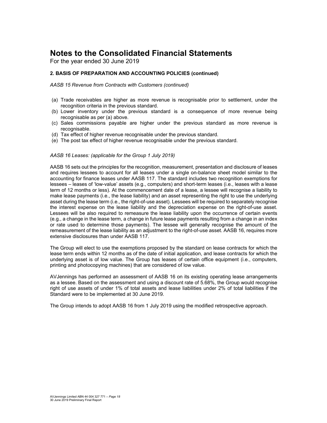For the year ended 30 June 2019

#### **2. BASIS OF PREPARATION AND ACCOUNTING POLICIES (continued)**

*AASB 15 Revenue from Contracts with Customers (continued)* 

- (a) Trade receivables are higher as more revenue is recognisable prior to settlement, under the recognition criteria in the previous standard.
- (b) Lower inventory under the previous standard is a consequence of more revenue being recognisable as per (a) above.
- (c) Sales commissions payable are higher under the previous standard as more revenue is recognisable.
- (d) Tax effect of higher revenue recognisable under the previous standard.
- (e) The post tax effect of higher revenue recognisable under the previous standard.

#### *AASB 16 Leases: (applicable for the Group 1 July 2019)*

AASB 16 sets out the principles for the recognition, measurement, presentation and disclosure of leases and requires lessees to account for all leases under a single on-balance sheet model similar to the accounting for finance leases under AASB 117. The standard includes two recognition exemptions for lessees – leases of 'low-value' assets (e.g., computers) and short-term leases (i.e., leases with a lease term of 12 months or less). At the commencement date of a lease, a lessee will recognise a liability to make lease payments (i.e., the lease liability) and an asset representing the right to use the underlying asset during the lease term (i.e., the right-of-use asset). Lessees will be required to separately recognise the interest expense on the lease liability and the depreciation expense on the right-of-use asset. Lessees will be also required to remeasure the lease liability upon the occurrence of certain events (e.g., a change in the lease term, a change in future lease payments resulting from a change in an index or rate used to determine those payments). The lessee will generally recognise the amount of the remeasurement of the lease liability as an adjustment to the right-of-use asset. AASB 16, requires more extensive disclosures than under AASB 117.

The Group will elect to use the exemptions proposed by the standard on lease contracts for which the lease term ends within 12 months as of the date of initial application, and lease contracts for which the underlying asset is of low value. The Group has leases of certain office equipment (i.e., computers, printing and photocopying machines) that are considered of low value.

AVJennings has performed an assessment of AASB 16 on its existing operating lease arrangements as a lessee. Based on the assessment and using a discount rate of 5.68%, the Group would recognise right of use assets of under 1% of total assets and lease liabilities under 2% of total liabilities if the Standard were to be implemented at 30 June 2019.

The Group intends to adopt AASB 16 from 1 July 2019 using the modified retrospective approach.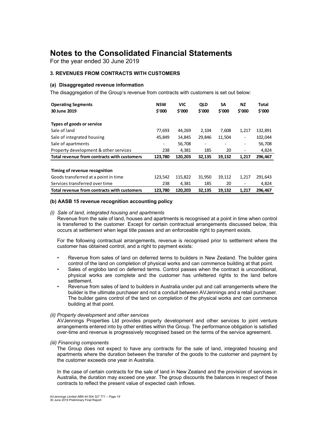For the year ended 30 June 2019

#### **3. REVENUES FROM CONTRACTS WITH CUSTOMERS**

#### **(a) Disaggregated revenue information**

The disaggregation of the Group's revenue from contracts with customers is set out below:

| <b>Operating Segments</b><br>30 June 2019   | <b>NSW</b><br>\$'000 | <b>VIC</b><br>\$'000 | <b>QLD</b><br>\$'000     | <b>SA</b><br>\$'000 | NZ.<br>\$'000            | Total<br>\$'000 |
|---------------------------------------------|----------------------|----------------------|--------------------------|---------------------|--------------------------|-----------------|
| Types of goods or service                   |                      |                      |                          |                     |                          |                 |
| Sale of land                                | 77,693               | 44,269               | 2,104                    | 7,608               | 1.217                    | 132,891         |
| Sale of integrated housing                  | 45,849               | 14,845               | 29,846                   | 11,504              | $\overline{\phantom{a}}$ | 102,044         |
| Sale of apartments                          |                      | 56,708               | $\overline{\phantom{a}}$ | ۰                   | ٠                        | 56,708          |
| Property development & other services       | 238                  | 4,381                | 185                      | 20                  | $\overline{\phantom{a}}$ | 4,824           |
| Total revenue from contracts with customers | 123,780              | 120,203              | 32,135                   | 19,132              | 1,217                    | 296,467         |
|                                             |                      |                      |                          |                     |                          |                 |
| Timing of revenue recognition               |                      |                      |                          |                     |                          |                 |
| Goods transferred at a point in time        | 123.542              | 115,822              | 31,950                   | 19,112              | 1.217                    | 291,643         |
| Services transferred over time              | 238                  | 4,381                | 185                      | 20                  |                          | 4,824           |
| Total revenue from contracts with customers | 123.780              | 120.203              | 32.135                   | 19.132              | 1.217                    | 296.467         |

#### **(b) AASB 15 revenue recognition accounting policy**

#### *(i) Sale of land, integrated housing and apartments*

Revenue from the sale of land, houses and apartments is recognised at a point in time when control is transferred to the customer. Except for certain contractual arrangements discussed below, this occurs at settlement when legal title passes and an enforceable right to payment exists.

For the following contractual arrangements, revenue is recognised prior to settlement where the customer has obtained control, and a right to payment exists:

- Revenue from sales of land on deferred terms to builders in New Zealand. The builder gains control of the land on completion of physical works and can commence building at that point.
- Sales of englobo land on deferred terms. Control passes when the contract is unconditional. physical works are complete and the customer has unfettered rights to the land before settlement.
- Revenue from sales of land to builders in Australia under put and call arrangements where the builder is the ultimate purchaser and not a conduit between AVJennings and a retail purchaser. The builder gains control of the land on completion of the physical works and can commence building at that point.

#### *(ii) Property development and other services*

AVJennings Properties Ltd provides property development and other services to joint venture arrangements entered into by other entities within the Group. The performance obligation is satisfied over-time and revenue is progressively recognised based on the terms of the service agreement.

#### *(iii) Financing components*

The Group does not expect to have any contracts for the sale of land, integrated housing and apartments where the duration between the transfer of the goods to the customer and payment by the customer exceeds one year in Australia.

In the case of certain contracts for the sale of land in New Zealand and the provision of services in Australia, the duration may exceed one year. The group discounts the balances in respect of these contracts to reflect the present value of expected cash inflows.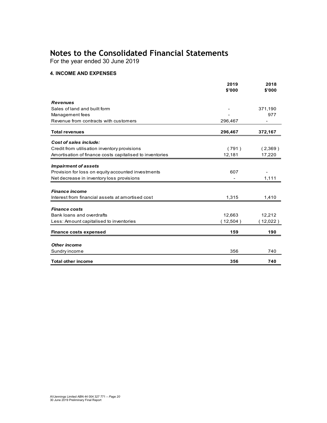For the year ended 30 June 2019

#### **4. INCOME AND EXPENSES**

|                                                          | 2019<br>\$'000 | 2018<br>\$'000 |
|----------------------------------------------------------|----------------|----------------|
|                                                          |                |                |
| <b>Revenues</b>                                          |                |                |
| Sales of land and built form                             |                | 371,190        |
| Management fees                                          |                | 977            |
| Revenue from contracts with customers                    | 296,467        |                |
| <b>Total revenues</b>                                    | 296,467        | 372,167        |
| Cost of sales include:                                   |                |                |
| Credit from utilisation inventory provisions             | (791)          | (2,369)        |
| Amortisation of finance costs capitalised to inventories | 12,181         | 17,220         |
| <b>Impairment of assets</b>                              |                |                |
| Provision for loss on equity accounted investments       | 607            |                |
| Net decrease in inventory loss provisions                |                | 1,111          |
| <b>Finance income</b>                                    |                |                |
|                                                          |                |                |
| Interest from financial assets at amortised cost         | 1,315          | 1,410          |
| <b>Finance costs</b>                                     |                |                |
| Bank loans and overdrafts                                | 12,663         | 12,212         |
| Less: Amount capitalised to inventories                  | (12,504)       | (12,022)       |
| <b>Finance costs expensed</b>                            | 159            | 190            |
|                                                          |                |                |
| <b>Other income</b>                                      |                |                |
| Sundry income                                            | 356            | 740            |
| <b>Total other income</b>                                | 356            | 740            |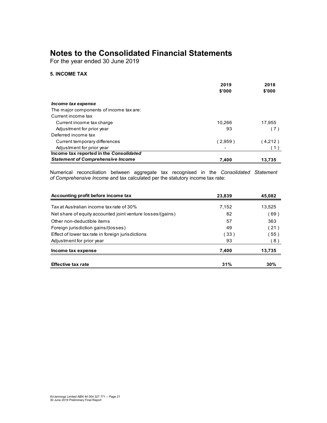For the year ended 30 June 2019

#### **5. INCOME TAX**

|                                          | 2019    | 2018    |
|------------------------------------------|---------|---------|
|                                          | \$'000  | \$'000  |
|                                          |         |         |
| Income tax expense                       |         |         |
| The major components of income tax are:  |         |         |
| Current income tax                       |         |         |
| Current income tax charge                | 10.266  | 17.955  |
| Adjustment for prior year                | 93      | (7)     |
| Deferred income tax                      |         |         |
| Current temporary differences            | (2,959) | (4,212) |
| Adjustment for prior year                |         | (1)     |
| Income tax reported in the Consolidated  |         |         |
| <b>Statement of Comprehensive Income</b> | 7,400   | 13,735  |

Numerical reconciliation between aggregate tax recognised in the *Consolidated Statement of Comprehensive Income* and tax calculated per the statutory income tax rate:

| Accounting profit before income tax                        | 23.839 | 45,082 |
|------------------------------------------------------------|--------|--------|
| Tax at Australian income tax rate of 30%                   | 7.152  | 13,525 |
| Net share of equity accounted joint venture losses/(gains) | 82     | 69)    |
| Other non-deductible items                                 | 57     | 363    |
| Foreign jurisdiction gains/(losses)                        | 49     | (21)   |
| Effect of lower tax rate in foreign juris dictions         | (33)   | 55)    |
| Adjustment for prior year                                  | 93     | 8)     |
| Income tax expense                                         | 7,400  | 13,735 |
| <b>Effective tax rate</b>                                  | 31%    | 30%    |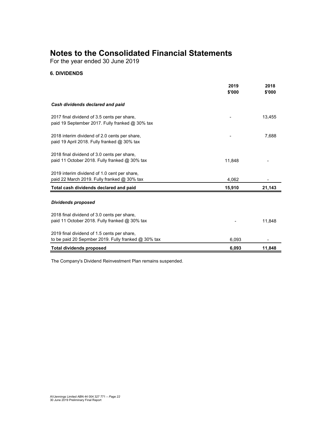For the year ended 30 June 2019

#### **6. DIVIDENDS**

|                                                                                                    | 2019<br>\$'000 | 2018<br>\$'000 |
|----------------------------------------------------------------------------------------------------|----------------|----------------|
| Cash dividends declared and paid                                                                   |                |                |
| 2017 final dividend of 3.5 cents per share,<br>paid 19 September 2017. Fully franked @ 30% tax     |                | 13,455         |
| 2018 interim dividend of 2.0 cents per share,<br>paid 19 April 2018. Fully franked $@$ 30% tax     |                | 7,688          |
| 2018 final dividend of 3.0 cents per share,<br>paid 11 October 2018. Fully franked $@$ 30% tax     | 11,848         |                |
| 2019 interim dividend of 1.0 cent per share.<br>paid 22 March 2019. Fully franked @ 30% tax        | 4,062          |                |
| Total cash dividends declared and paid                                                             | 15,910         | 21,143         |
| <b>Dividends proposed</b>                                                                          |                |                |
| 2018 final dividend of 3.0 cents per share,<br>paid 11 October 2018. Fully franked $@30\%$ tax     |                | 11,848         |
| 2019 final dividend of 1.5 cents per share.<br>to be paid 20 Sepmber 2019. Fully franked @ 30% tax | 6,093          |                |
| <b>Total dividends proposed</b>                                                                    | 6,093          | 11,848         |

The Company's Dividend Reinvestment Plan remains suspended.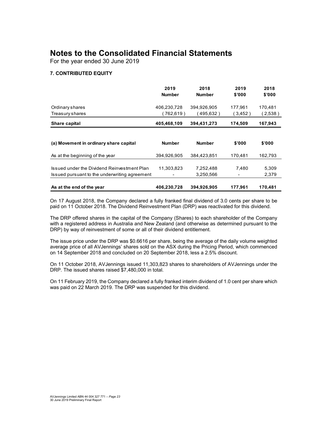For the year ended 30 June 2019

#### **7. CONTRIBUTED EQUITY**

|                                               | 2019          | 2018          | 2019    | 2018    |
|-----------------------------------------------|---------------|---------------|---------|---------|
|                                               | <b>Number</b> | <b>Number</b> | \$'000  | \$'000  |
| Ordinary shares                               | 406.230.728   | 394.926.905   | 177.961 | 170.481 |
| <b>Treasury shares</b>                        | (762, 619)    | (495,632)     | (3,452) | (2,538) |
| Share capital                                 | 405,468,109   | 394,431,273   | 174,509 | 167,943 |
|                                               |               |               |         |         |
| (a) Movement in ordinary share capital        | <b>Number</b> | <b>Number</b> | \$'000  | \$'000  |
| As at the beginning of the year               | 394,926,905   | 384,423,851   | 170,481 | 162,793 |
| Issued under the Dividend Reinvestment Plan   | 11.303.823    | 7,252,488     | 7.480   | 5,309   |
| Issued pursuant to the underwriting agreement |               | 3,250,566     |         | 2,379   |
|                                               |               |               |         |         |
| As at the end of the year                     | 406,230,728   | 394,926,905   | 177,961 | 170,481 |

On 17 August 2018, the Company declared a fully franked final dividend of 3.0 cents per share to be paid on 11 October 2018. The Dividend Reinvestment Plan (DRP) was reactivated for this dividend.

The DRP offered shares in the capital of the Company (Shares) to each shareholder of the Company with a registered address in Australia and New Zealand (and otherwise as determined pursuant to the DRP) by way of reinvestment of some or all of their dividend entitlement.

The issue price under the DRP was \$0.6616 per share, being the average of the daily volume weighted average price of all AVJennings' shares sold on the ASX during the Pricing Period, which commenced on 14 September 2018 and concluded on 20 September 2018, less a 2.5% discount.

On 11 October 2018, AVJennings issued 11,303,823 shares to shareholders of AVJennings under the DRP. The issued shares raised \$7,480,000 in total.

On 11 February 2019, the Company declared a fully franked interim dividend of 1.0 cent per share which was paid on 22 March 2019. The DRP was suspended for this dividend.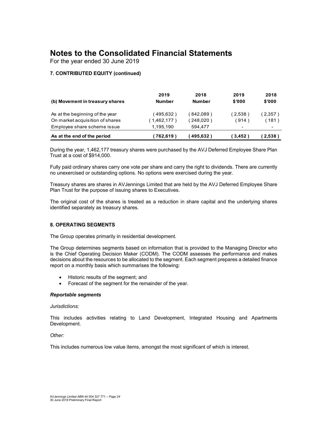For the year ended 30 June 2019

#### **7. CONTRIBUTED EQUITY (continued)**

| (b) Movement in treasury shares | 2019<br><b>Number</b> | 2018<br><b>Number</b> | 2019<br>\$'000 | 2018<br>\$'000 |
|---------------------------------|-----------------------|-----------------------|----------------|----------------|
| As at the beginning of the year | 495,632)              | (842,089)             | (2,538)        | (2.357)        |
| On market acquisition of shares | $1,462,177$ )         | (248,020)             | (914)          | 181)           |
| Employee share scheme issue     | 1,195,190             | 594.477               | -              |                |
| As at the end of the period     | 762,619)              | 495,632)              | 3,452          | 2,538)         |

During the year, 1,462,177 treasury shares were purchased by the AVJ Deferred Employee Share Plan Trust at a cost of \$914,000.

Fully paid ordinary shares carry one vote per share and carry the right to dividends. There are currently no unexercised or outstanding options. No options were exercised during the year.

Treasury shares are shares in AVJennings Limited that are held by the AVJ Deferred Employee Share Plan Trust for the purpose of issuing shares to Executives.

The original cost of the shares is treated as a reduction in share capital and the underlying shares identified separately as treasury shares.

#### **8. OPERATING SEGMENTS**

The Group operates primarily in residential development.

The Group determines segments based on information that is provided to the Managing Director who is the Chief Operating Decision Maker (CODM). The CODM assesses the performance and makes decisions about the resources to be allocated to the segment. Each segment prepares a detailed finance report on a monthly basis which summarises the following:

- Historic results of the segment; and
- Forecast of the segment for the remainder of the year.

#### *Reportable segments*

#### *Jurisdictions:*

This includes activities relating to Land Development, Integrated Housing and Apartments Development.

*Other:* 

This includes numerous low value items, amongst the most significant of which is interest.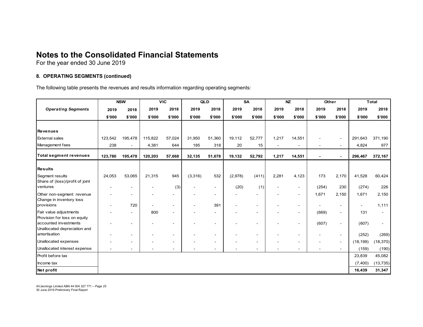For the year ended 30 June 2019

#### **8. OPERATING SEGMENTS (continued)**

The following table presents the revenues and results information regarding operating segments:

|                                                        |         | <b>NSW</b>               |         | <b>VIC</b>               |                | <b>QLD</b>     |         | <b>SA</b>                |        | <b>NZ</b>      | Other                    |                          |           | <b>Total</b> |
|--------------------------------------------------------|---------|--------------------------|---------|--------------------------|----------------|----------------|---------|--------------------------|--------|----------------|--------------------------|--------------------------|-----------|--------------|
| <b>Operating Segments</b>                              | 2019    | 2018                     | 2019    | 2018                     | 2019           | 2018           | 2019    | 2018                     | 2019   | 2018           | 2019                     | 2018                     | 2019      | 2018         |
|                                                        | \$'000  | \$'000                   | \$'000  | \$'000                   | \$'000         | \$'000         | \$'000  | \$'000                   | \$'000 | \$'000         | \$'000                   | \$'000                   | \$'000    | \$'000       |
|                                                        |         |                          |         |                          |                |                |         |                          |        |                |                          |                          |           |              |
| <b>Revenues</b>                                        |         |                          |         |                          |                |                |         |                          |        |                |                          |                          |           |              |
| <b>External sales</b>                                  | 123,542 | 195,478                  | 115,822 | 57,024                   | 31,950         | 51,360         | 19,112  | 52,777                   | 1,217  | 14,551         |                          | $\blacksquare$           | 291,643   | 371,190      |
| Management fees                                        | 238     | $\blacksquare$           | 4,381   | 644                      | 185            | 318            | 20      | 15                       |        |                |                          | $\overline{\phantom{a}}$ | 4,824     | 977          |
| <b>Total segment revenues</b>                          | 123,780 | 195,478                  | 120,203 | 57,668                   | 32,135         | 51,678         | 19,132  | 52,792                   | 1,217  | 14,551         |                          | $\blacksquare$           | 296,467   | 372,167      |
| <b>Results</b>                                         |         |                          |         |                          |                |                |         |                          |        |                |                          |                          |           |              |
| Segment results<br>Share of (loss)/profit of joint     | 24,053  | 53,065                   | 21,315  | 945                      | (3,316)        | 532            | (2,978) | (411)                    | 2,281  | 4,123          | 173                      | 2,170                    | 41,528    | 60,424       |
| ventures                                               |         |                          |         | (3)                      |                | $\blacksquare$ | (20)    | (1)                      |        | $\blacksquare$ | (254)                    | 230                      | (274)     | 226          |
| Other non-segment revenue<br>Change in inventory loss  |         | $\sim$                   |         |                          |                | $\sim$         |         |                          |        | $\blacksquare$ | 1,671                    | 2,150                    | 1,671     | 2,150        |
| provisions                                             |         | 720                      |         | $\sim$                   |                | 391            |         |                          |        | $\blacksquare$ |                          | $\overline{\phantom{a}}$ |           | 1,111        |
| Fair value adjustments<br>Provision for loss on equity |         |                          | 800     | $\sim$                   |                | $\sim$         |         |                          |        |                | (669)                    | $\sim$                   | 131       |              |
| accounted investments<br>Unallocated depreciation and  |         | $\overline{\phantom{a}}$ |         |                          |                | $\sim$         |         |                          |        | $\sim$         | (607)                    | $\blacksquare$           | (607)     |              |
| amortisation                                           |         | $\overline{\phantom{a}}$ |         | $\overline{\phantom{a}}$ | $\blacksquare$ | $\blacksquare$ |         | $\overline{\phantom{a}}$ |        | $\blacksquare$ | $\overline{\phantom{a}}$ | $\blacksquare$           | (252)     | (269)        |
| Unallocated expenses                                   |         |                          |         |                          |                |                |         |                          |        |                |                          | $\blacksquare$           | (18, 199) | (18, 370)    |
| Unallocated interest expense                           |         |                          |         |                          |                |                |         |                          |        | $\blacksquare$ |                          | $\blacksquare$           | (159)     | (190)        |
| Profit before tax                                      |         |                          |         |                          |                |                |         |                          |        |                |                          |                          | 23,839    | 45,082       |
| Income tax                                             |         |                          |         |                          |                |                |         |                          |        |                |                          |                          | (7,400)   | (13, 735)    |
| Net profit                                             |         |                          |         |                          |                |                |         |                          |        |                |                          |                          | 16,439    | 31,347       |

AVJennings Limited ABN 44 004 327 771 – *Page 25*  30 June 2019 Preliminary Final Report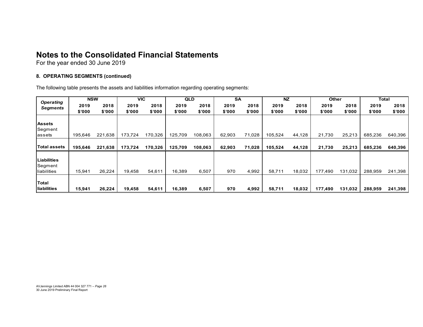For the year ended 30 June 2019

#### **8. OPERATING SEGMENTS (continued)**

The following table presents the assets and liabilities information regarding operating segments:

| <b>Operating</b>    | <b>NSW</b> |         | <b>VIC</b> |         | <b>QLD</b> |         | SA     |        | <b>NZ</b> |        | <b>Other</b> |         |         | Total   |
|---------------------|------------|---------|------------|---------|------------|---------|--------|--------|-----------|--------|--------------|---------|---------|---------|
| Segments            | 2019       | 2018    | 2019       | 2018    | 2019       | 2018    | 2019   | 2018   | 2019      | 2018   | 2019         | 2018    | 2019    | 2018    |
|                     | \$'000     | \$'000  | \$'000     | \$'000  | \$'000     | \$'000  | \$'000 | \$'000 | \$'000    | \$'000 | \$'000       | \$'000  | \$'000  | \$'000  |
|                     |            |         |            |         |            |         |        |        |           |        |              |         |         |         |
| <b>Assets</b>       |            |         |            |         |            |         |        |        |           |        |              |         |         |         |
| Segment             |            |         |            |         |            |         |        |        |           |        |              |         |         |         |
| lassets             | 195,646    | 221,638 | 173,724    | 170,326 | 125,709    | 108,063 | 62,903 | 71,028 | 105,524   | 44,128 | 21,730       | 25,213  | 685,236 | 640,396 |
|                     |            |         |            |         |            |         |        |        |           |        |              |         |         |         |
| <b>Total assets</b> | 195,646    | 221,638 | 173,724    | 170,326 | 125,709    | 108,063 | 62,903 | 71,028 | 105,524   | 44,128 | 21,730       | 25,213  | 685,236 | 640,396 |
|                     |            |         |            |         |            |         |        |        |           |        |              |         |         |         |
| Liabilities         |            |         |            |         |            |         |        |        |           |        |              |         |         |         |
| Segment             |            |         |            |         |            |         |        |        |           |        |              |         |         |         |
| liabilities         | 15,941     | 26,224  | 19,458     | 54,611  | 16,389     | 6,507   | 970    | 4,992  | 58,711    | 18,032 | 177,490      | 131,032 | 288,959 | 241,398 |
|                     |            |         |            |         |            |         |        |        |           |        |              |         |         |         |
| Total               |            |         |            |         |            |         |        |        |           |        |              |         |         |         |
| liabilities         | 15,941     | 26,224  | 19,458     | 54,611  | 16,389     | 6,507   | 970    | 4,992  | 58,711    | 18,032 | 177,490      | 131,032 | 288,959 | 241,398 |

AVJennings Limited ABN 44 004 327 771 – *Page 26*  30 June 2019 Preliminary Final Report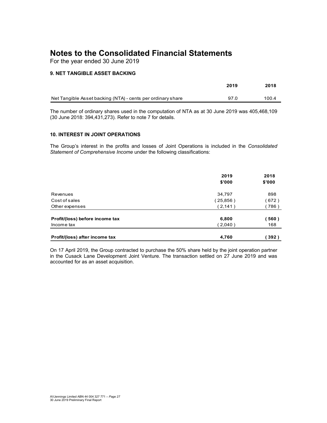For the year ended 30 June 2019

#### **9. NET TANGIBLE ASSET BACKING**

|                                                             | 2019 | 2018  |
|-------------------------------------------------------------|------|-------|
| Net Tangible Asset backing (NTA) - cents per ordinary share | 97.0 | 100.4 |

The number of ordinary shares used in the computation of NTA as at 30 June 2019 was 405,468,109 (30 June 2018: 394,431,273). Refer to note 7 for details.

#### **10. INTEREST IN JOINT OPERATIONS**

The Group's interest in the profits and losses of Joint Operations is included in the *Consolidated Statement of Comprehensive Income* under the following classifications:

|                                 | 2019     | 2018   |
|---------------------------------|----------|--------|
|                                 | \$'000   | \$'000 |
| Revenues                        | 34,797   | 898    |
| Cost of sales                   | (25,856) | 672)   |
| Other expenses                  | (2, 141) | 786)   |
| Profit/(loss) before income tax | 6,800    | 560)   |
| Income tax                      | (2,040)  | 168    |
| Profit/(loss) after income tax  | 4,760    | 392)   |

On 17 April 2019, the Group contracted to purchase the 50% share held by the joint operation partner in the Cusack Lane Development Joint Venture. The transaction settled on 27 June 2019 and was accounted for as an asset acquisition.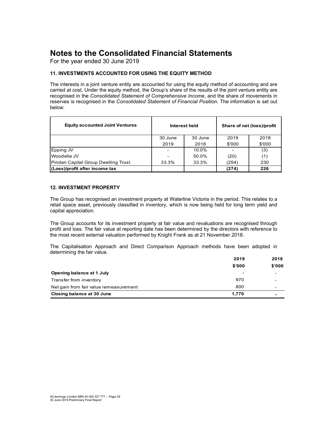For the year ended 30 June 2019

#### **11. INVESTMENTS ACCOUNTED FOR USING THE EQUITY METHOD**

The interests in a joint venture entity are accounted for using the equity method of accounting and are carried at cost. Under the equity method, the Group's share of the results of the joint venture entity are recognised in the *Consolidated Statement of Comprehensive Income*, and the share of movements in reserves is recognised in the *Consolidated Statement of Financial Position*. The information is set out below:

| <b>Equity accounted Joint Ventures</b> |                          | Interest held | Share of net (loss)/profit |        |  |
|----------------------------------------|--------------------------|---------------|----------------------------|--------|--|
|                                        | 30 June                  | 30 June       | 2019                       | 2018   |  |
|                                        | 2019                     | 2018          | \$'000                     | \$'000 |  |
| Epping JV                              | $\overline{\phantom{0}}$ | 10.0%         |                            | (3)    |  |
| Woodville JV                           | -                        | 50.0%         | (20)                       | (1)    |  |
| Pindan Capital Group Dwelling Trust    | 33.3%                    | 33.3%         | (254)                      | 230    |  |
| (Loss)/profit after income tax         |                          |               | (274)                      | 226    |  |

#### **12. INVESTMENT PROPERTY**

The Group has recognised an investment property at Waterline Victoria in the period. This relates to a retail space asset, previously classified in inventory, which is now being held for long term yield and capital appreciation.

The Group accounts for its investment property at fair value and revaluations are recognised through profit and loss. The fair value at reporting date has been determined by the directors with reference to the most recent external valuation performed by Knight Frank as at 21 November 2018.

The Capitalisation Approach and Direct Comparison Approach methods have been adopted in determining the fair value.

|                                        | 2019                     | 2018   |
|----------------------------------------|--------------------------|--------|
|                                        | \$'000                   | \$'000 |
| Opening balance at 1 July              | $\overline{\phantom{0}}$ |        |
| Transfer from inventory                | 970                      |        |
| Net gain from fair value remeasurement | 800                      |        |
| Closing balance at 30 June             | 1.770                    |        |